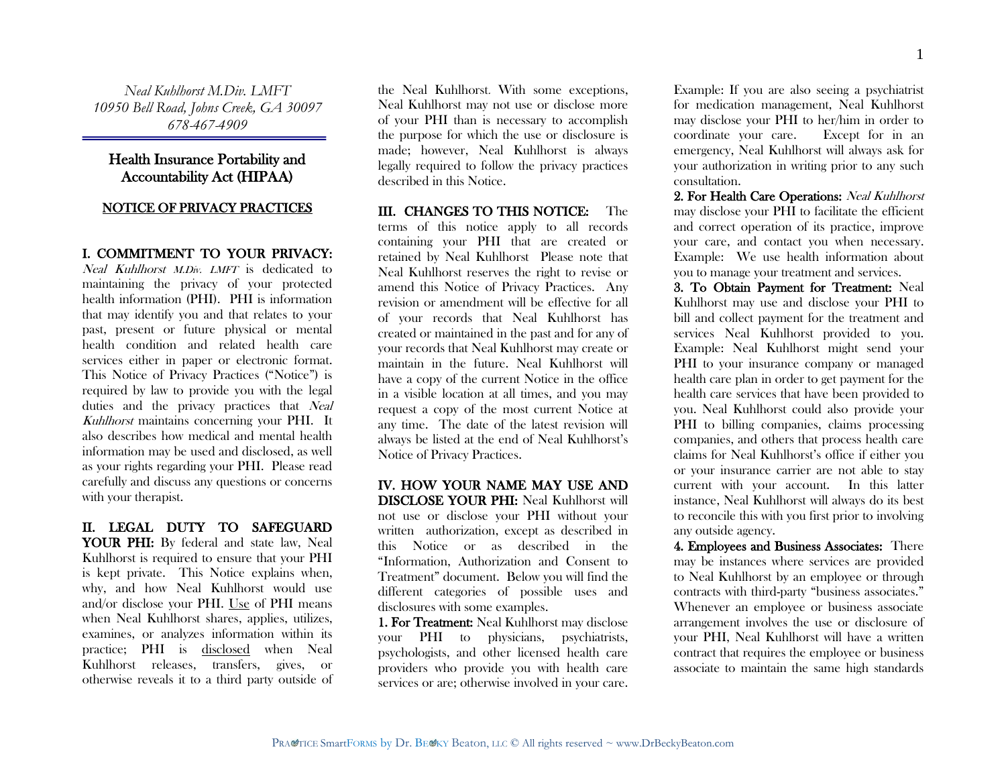*Neal Kuhlhorst M.Div. LMFT 10950 Bell Road, Johns Creek, GA 30097 678-467-4909*

# Health Insurance Portability and Accountability Act (HIPAA)

# NOTICE OF PRIVACY PRACTICES

# I. COMMITMENT TO YOUR PRIVACY:

Neal Kuhlhorst M.Div. LMFT is dedicated to maintaining the privacy of your protected health information (PHI). PHI is information that may identify you and that relates to your past, present or future physical or mental health condition and related health care services either in paper or electronic format. This Notice of Privacy Practices ("Notice") is required by law to provide you with the legal duties and the privacy practices that Neal Kuhlhorst maintains concerning your PHI. It also describes how medical and mental health information may be used and disclosed, as well as your rights regarding your PHI. Please read carefully and discuss any questions or concerns with your therapist.

## II. LEGAL DUTY TO SAFEGUARD YOUR PHI: By federal and state law, Neal Kuhlhorst is required to ensure that your PHI is kept private. This Notice explains when, why, and how Neal Kuhlhorst would use and/or disclose your PHI. Use of PHI means when Neal Kuhlhorst shares, applies, utilizes, examines, or analyzes information within its practice; PHI is disclosed when Neal Kuhlhorst releases, transfers, gives, or otherwise reveals it to a third party outside of

the Neal Kuhlhorst. With some exceptions, Neal Kuhlhorst may not use or disclose more of your PHI than is necessary to accomplish the purpose for which the use or disclosure is made; however, Neal Kuhlhorst is always legally required to follow the privacy practices described in this Notice.

#### III. CHANGES TO THIS NOTICE: The

terms of this notice apply to all records containing your PHI that are created or retained by Neal Kuhlhorst Please note that Neal Kuhlhorst reserves the right to revise or amend this Notice of Privacy Practices. Any revision or amendment will be effective for all of your records that Neal Kuhlhorst has created or maintained in the past and for any of your records that Neal Kuhlhorst may create or maintain in the future. Neal Kuhlhorst will have a copy of the current Notice in the office in a visible location at all times, and you may request a copy of the most current Notice at any time. The date of the latest revision will always be listed at the end of Neal Kuhlhorst's Notice of Privacy Practices.

#### IV. HOW YOUR NAME MAY USE AND DISCLOSE YOUR PHI: Neal Kuhlhorst will not use or disclose your PHI without your

written authorization, except as described in this Notice or as described in the "Information, Authorization and Consent to Treatment" document. Below you will find the different categories of possible uses and disclosures with some examples.

1. For Treatment: Neal Kuhlhorst may disclose your PHI to physicians, psychiatrists, psychologists, and other licensed health care providers who provide you with health care services or are; otherwise involved in your care.

Example: If you are also seeing a psychiatrist for medication management, Neal Kuhlhorst may disclose your PHI to her/him in order to coordinate your care. Except for in an emergency, Neal Kuhlhorst will always ask for your authorization in writing prior to any such consultation.

2. For Health Care Operations: Neal Kuhlhorst may disclose your PHI to facilitate the efficient and correct operation of its practice, improve your care, and contact you when necessary. Example: We use health information about you to manage your treatment and services.

3. To Obtain Payment for Treatment: Neal Kuhlhorst may use and disclose your PHI to bill and collect payment for the treatment and services Neal Kuhlhorst provided to you. Example: Neal Kuhlhorst might send your PHI to your insurance company or managed health care plan in order to get payment for the health care services that have been provided to you. Neal Kuhlhorst could also provide your PHI to billing companies, claims processing companies, and others that process health care claims for Neal Kuhlhorst's office if either you or your insurance carrier are not able to stay current with your account. In this latter instance, Neal Kuhlhorst will always do its best to reconcile this with you first prior to involving any outside agency.

4. Employees and Business Associates: There may be instances where services are provided to Neal Kuhlhorst by an employee or through contracts with third-party "business associates." Whenever an employee or business associate arrangement involves the use or disclosure of your PHI, Neal Kuhlhorst will have a written contract that requires the employee or business associate to maintain the same high standards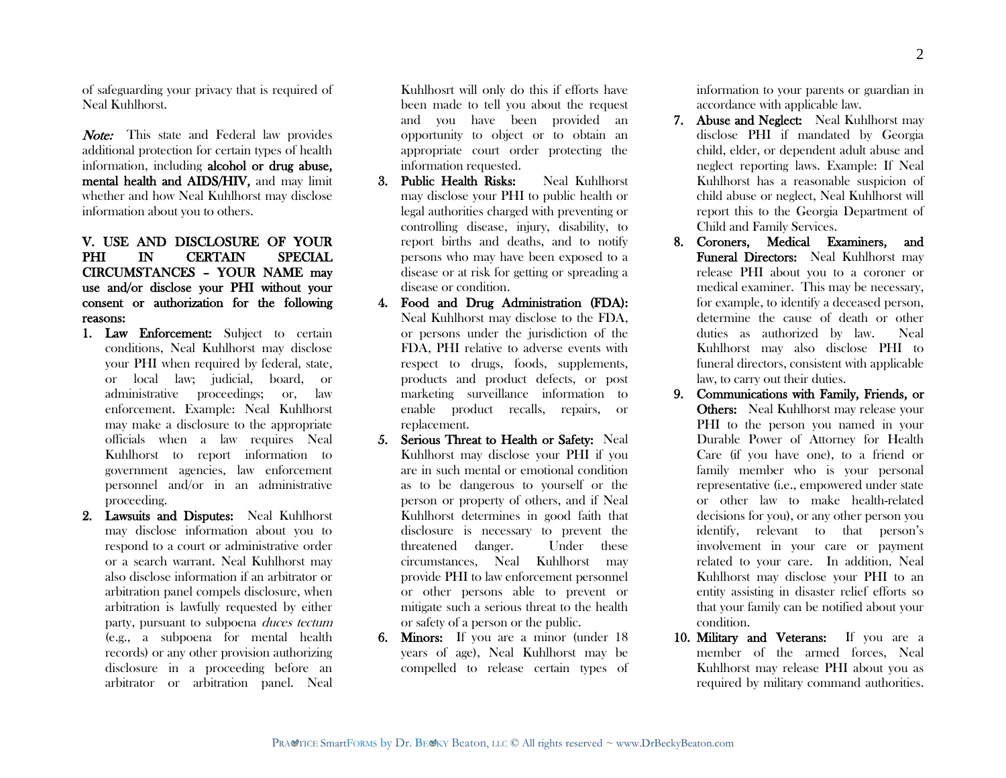of safeguarding your privacy that is required of Neal Kuhlhorst.

Note: This state and Federal law provides additional protection for certain types of health information, including alcohol or drug abuse, mental health and AIDS/HIV, and may limit whether and how Neal Kuhlhorst may disclose information about you to others.

# V. USE AND DISCLOSURE OF YOUR PHI IN CERTAIN SPECIAL CIRCUMSTANCES – YOUR NAME may use and/or disclose your PHI without your consent or authorization for the following reasons:

- 1. Law Enforcement: Subject to certain conditions, Neal Kuhlhorst may disclose your PHI when required by federal, state, or local law; judicial, board, or administrative proceedings; or, law enforcement. Example: Neal Kuhlhorst may make a disclosure to the appropriate officials when a law requires Neal Kuhlhorst to report information to government agencies, law enforcement personnel and/or in an administrative proceeding.
- 2. Lawsuits and Disputes: Neal Kuhlhorst may disclose information about you to respond to a court or administrative order or a search warrant. Neal Kuhlhorst may also disclose information if an arbitrator or arbitration panel compels disclosure, when arbitration is lawfully requested by either party, pursuant to subpoena duces tectum (e.g., a subpoena for mental health records) or any other provision authorizing disclosure in a proceeding before an arbitrator or arbitration panel. Neal

Kuhlhosrt will only do this if efforts have been made to tell you about the request and you have been provided an opportunity to object or to obtain an appropriate court order protecting the information requested.

- 3. Public Health Risks: Neal Kuhlhorst may disclose your PHI to public health or legal authorities charged with preventing or controlling disease, injury, disability, to report births and deaths, and to notify persons who may have been exposed to a disease or at risk for getting or spreading a disease or condition.
- 4. Food and Drug Administration (FDA): Neal Kuhlhorst may disclose to the FDA, or persons under the jurisdiction of the FDA, PHI relative to adverse events with respect to drugs, foods, supplements, products and product defects, or post marketing surveillance information to enable product recalls, repairs, or replacement.
- 5. Serious Threat to Health or Safety: Neal Kuhlhorst may disclose your PHI if you are in such mental or emotional condition as to be dangerous to yourself or the person or property of others, and if Neal Kuhlhorst determines in good faith that disclosure is necessary to prevent the threatened danger. Under these circumstances, Neal Kuhlhorst may provide PHI to law enforcement personnel or other persons able to prevent or mitigate such a serious threat to the health or safety of a person or the public.
- 6. Minors: If you are a minor (under 18 years of age), Neal Kuhlhorst may be compelled to release certain types of

information to your parents or guardian in accordance with applicable law.

- 7. Abuse and Neglect: Neal Kuhlhorst may disclose PHI if mandated by Georgia child, elder, or dependent adult abuse and neglect reporting laws. Example: If Neal Kuhlhorst has a reasonable suspicion of child abuse or neglect, Neal Kuhlhorst will report this to the Georgia Department of Child and Family Services.
- 8. Coroners, Medical Examiners, and Funeral Directors: Neal Kuhlhorst may release PHI about you to a coroner or medical examiner. This may be necessary, for example, to identify a deceased person, determine the cause of death or other duties as authorized by law. Neal Kuhlhorst may also disclose PHI to funeral directors, consistent with applicable law, to carry out their duties.
- 9. Communications with Family, Friends, or Others: Neal Kuhlhorst may release your PHI to the person you named in your Durable Power of Attorney for Health Care (if you have one), to a friend or family member who is your personal representative (i.e., empowered under state or other law to make health-related decisions for you), or any other person you identify, relevant to that person's involvement in your care or payment related to your care. In addition, Neal Kuhlhorst may disclose your PHI to an entity assisting in disaster relief efforts so that your family can be notified about your condition.
- 10. Military and Veterans: If you are a member of the armed forces, Neal Kuhlhorst may release PHI about you as required by military command authorities.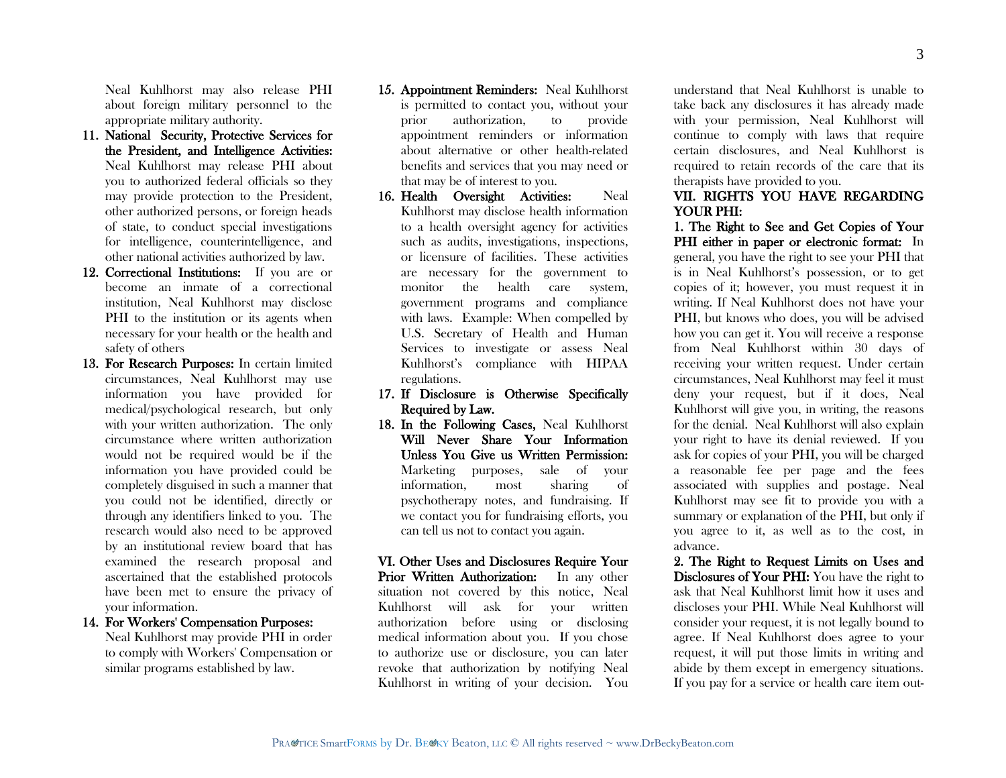Neal Kuhlhorst may also release PHI about foreign military personnel to the appropriate military authority.

- 11. National Security, Protective Services for the President, and Intelligence Activities: Neal Kuhlhorst may release PHI about you to authorized federal officials so they may provide protection to the President, other authorized persons, or foreign heads of state, to conduct special investigations for intelligence, counterintelligence, and other national activities authorized by law.
- 12. Correctional Institutions: If you are or become an inmate of a correctional institution, Neal Kuhlhorst may disclose PHI to the institution or its agents when necessary for your health or the health and safety of others
- 13. For Research Purposes: In certain limited circumstances, Neal Kuhlhorst may use information you have provided for medical/psychological research, but only with your written authorization. The only circumstance where written authorization would not be required would be if the information you have provided could be completely disguised in such a manner that you could not be identified, directly or through any identifiers linked to you. The research would also need to be approved by an institutional review board that has examined the research proposal and ascertained that the established protocols have been met to ensure the privacy of your information.

## 14. For Workers' Compensation Purposes:

Neal Kuhlhorst may provide PHI in order to comply with Workers' Compensation or similar programs established by law.

- 15. Appointment Reminders: Neal Kuhlhorst is permitted to contact you, without your prior authorization, to provide appointment reminders or information about alternative or other health-related benefits and services that you may need or that may be of interest to you.
- 16. Health Oversight Activities: Neal Kuhlhorst may disclose health information to a health oversight agency for activities such as audits, investigations, inspections, or licensure of facilities. These activities are necessary for the government to monitor the health care system, government programs and compliance with laws. Example: When compelled by U.S. Secretary of Health and Human Services to investigate or assess Neal Kuhlhorst's compliance with HIPAA regulations.
- 17. If Disclosure is Otherwise Specifically Required by Law.
- 18. In the Following Cases, Neal Kuhlhorst Will Never Share Your Information Unless You Give us Written Permission: Marketing purposes, sale of your information, most sharing of psychotherapy notes, and fundraising. If we contact you for fundraising efforts, you can tell us not to contact you again.

VI. Other Uses and Disclosures Require Your Prior Written Authorization: In any other situation not covered by this notice, Neal Kuhlhorst will ask for your written authorization before using or disclosing medical information about you. If you chose to authorize use or disclosure, you can later revoke that authorization by notifying Neal Kuhlhorst in writing of your decision. You

understand that Neal Kuhlhorst is unable to take back any disclosures it has already made with your permission, Neal Kuhlhorst will continue to comply with laws that require certain disclosures, and Neal Kuhlhorst is required to retain records of the care that its therapists have provided to you.

## VII. RIGHTS YOU HAVE REGARDING YOUR PHI:

1. The Right to See and Get Copies of Your PHI either in paper or electronic format: In general, you have the right to see your PHI that is in Neal Kuhlhorst's possession, or to get copies of it; however, you must request it in writing. If Neal Kuhlhorst does not have your PHI, but knows who does, you will be advised how you can get it. You will receive a response from Neal Kuhlhorst within 30 days of receiving your written request. Under certain circumstances, Neal Kuhlhorst may feel it must deny your request, but if it does, Neal Kuhlhorst will give you, in writing, the reasons for the denial. Neal Kuhlhorst will also explain your right to have its denial reviewed. If you ask for copies of your PHI, you will be charged a reasonable fee per page and the fees associated with supplies and postage. Neal Kuhlhorst may see fit to provide you with a summary or explanation of the PHI, but only if you agree to it, as well as to the cost, in advance.

2. The Right to Request Limits on Uses and Disclosures of Your PHI: You have the right to ask that Neal Kuhlhorst limit how it uses and discloses your PHI. While Neal Kuhlhorst will consider your request, it is not legally bound to agree. If Neal Kuhlhorst does agree to your request, it will put those limits in writing and abide by them except in emergency situations. If you pay for a service or health care item out